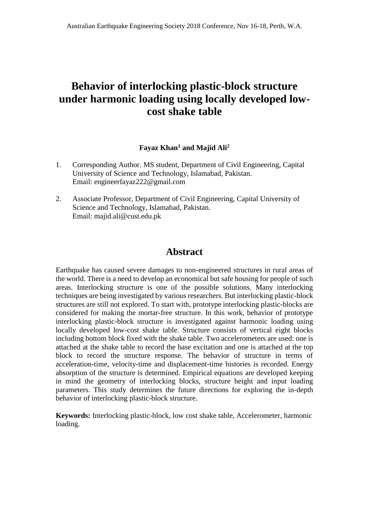# **Behavior of interlocking plastic-block structure under harmonic loading using locally developed lowcost shake table**

# **Fayaz Khan<sup>1</sup> and Majid Ali<sup>2</sup>**

- 1. Corresponding Author. MS student, Department of Civil Engineering, Capital University of Science and Technology, Islamabad, Pakistan. Email: engineerfayaz222@gmail.com
- 2. Associate Professor, Department of Civil Engineering, Capital University of Science and Technology, Islamabad, Pakistan. Email: majid.ali@cust.edu.pk

# **Abstract**

Earthquake has caused severe damages to non-engineered structures in rural areas of the world. There is a need to develop an economical but safe housing for people of such areas. Interlocking structure is one of the possible solutions. Many interlocking techniques are being investigated by various researchers. But interlocking plastic-block structures are still not explored. To start with, prototype interlocking plastic-blocks are considered for making the mortar-free structure. In this work, behavior of prototype interlocking plastic-block structure is investigated against harmonic loading using locally developed low-cost shake table. Structure consists of vertical eight blocks including bottom block fixed with the shake table. Two accelerometers are used: one is attached at the shake table to record the base excitation and one is attached at the top block to record the structure response. The behavior of structure in terms of acceleration-time, velocity-time and displacement-time histories is recorded. Energy absorption of the structure is determined. Empirical equations are developed keeping in mind the geometry of interlocking blocks, structure height and input loading parameters. This study determines the future directions for exploring the in-depth behavior of interlocking plastic-block structure.

**Keywords:** Interlocking plastic-block, low cost shake table, Accelerometer, harmonic loading.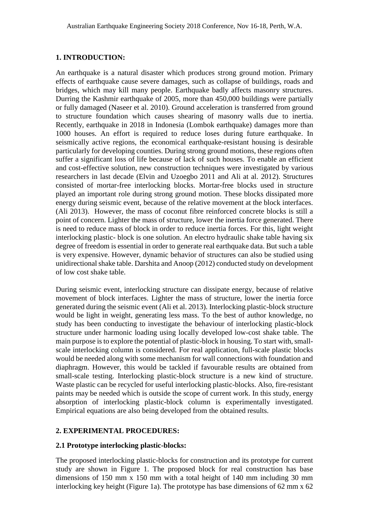#### **1. INTRODUCTION:**

An earthquake is a natural disaster which produces strong ground motion. Primary effects of earthquake cause severe damages, such as collapse of buildings, roads and bridges, which may kill many people. Earthquake badly affects masonry structures. Durring the Kashmir earthquake of 2005, more than 450,000 buildings were partially or fully damaged (Naseer et al. 2010). Ground acceleration is transferred from ground to structure foundation which causes shearing of masonry walls due to inertia. Recently, earthquake in 2018 in Indonesia (Lombok earthquake) damages more than 1000 houses. An effort is required to reduce loses during future earthquake. In seismically active regions, the economical earthquake-resistant housing is desirable particularly for developing counties. During strong ground motions, these regions often suffer a significant loss of life because of lack of such houses. To enable an efficient and cost-effective solution, new construction techniques were investigated by various researchers in last decade (Elvin and Uzoegbo 2011 and Ali at al. 2012). Structures consisted of mortar-free interlocking blocks. Mortar-free blocks used in structure played an important role during strong ground motion. These blocks dissipated more energy during seismic event, because of the relative movement at the block interfaces. (Ali 2013). However, the mass of coconut fibre reinforced concrete blocks is still a point of concern. Lighter the mass of structure, lower the inertia force generated. There is need to reduce mass of block in order to reduce inertia forces. For this, light weight interlocking plastic- block is one solution. An electro hydraulic shake table having six degree of freedom is essential in order to generate real earthquake data. But such a table is very expensive. However, dynamic behavior of structures can also be studied using unidirectional shake table. Darshita and Anoop (2012) conducted study on development of low cost shake table.

During seismic event, interlocking structure can dissipate energy, because of relative movement of block interfaces. Lighter the mass of structure, lower the inertia force generated during the seismic event (Ali et al. 2013). Interlocking plastic-block structure would be light in weight, generating less mass. To the best of author knowledge, no study has been conducting to investigate the behaviour of interlocking plastic-block structure under harmonic loading using locally developed low-cost shake table. The main purpose is to explore the potential of plastic-block in housing. To start with, smallscale interlocking column is considered. For real application, full-scale plastic blocks would be needed along with some mechanism for wall connections with foundation and diaphragm. However, this would be tackled if favourable results are obtained from small-scale testing. Interlocking plastic-block structure is a new kind of structure. Waste plastic can be recycled for useful interlocking plastic-blocks. Also, fire-resistant paints may be needed which is outside the scope of current work. In this study, energy absorption of interlocking plastic-block column is experimentally investigated. Empirical equations are also being developed from the obtained results.

# **2. EXPERIMENTAL PROCEDURES:**

#### **2.1 Prototype interlocking plastic-blocks:**

The proposed interlocking plastic-blocks for construction and its prototype for current study are shown in Figure 1. The proposed block for real construction has base dimensions of 150 mm x 150 mm with a total height of 140 mm including 30 mm interlocking key height (Figure 1a). The prototype has base dimensions of 62 mm x 62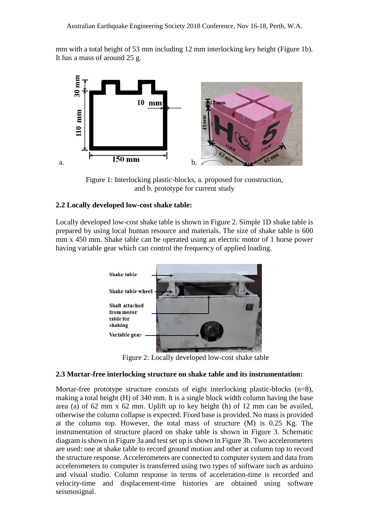mm with a total height of 53 mm including 12 mm interlocking key height (Figure 1b). It has a mass of around 25 g.



Figure 1: Interlocking plastic-blocks, a. proposed for construction, and b. prototype for current study

#### **2.2 Locally developed low-cost shake table:**

Locally developed low-cost shake table is shown in Figure 2. Simple 1D shake table is prepared by using local human resource and materials. The size of shake table is 600 mm x 450 mm. Shake table can be operated using an electric motor of 1 horse power having variable gear which can control the frequency of applied loading.



Figure 2: Locally developed low-cost shake table

#### **2.3 Mortar-free interlocking structure on shake table and its instrumentation:**

Mortar-free prototype structure consists of eight interlocking plastic-blocks (n=8), making a total height (H) of 340 mm. It is a single block width column having the base area (a) of 62 mm x 62 mm. Uplift up to key height (h) of 12 mm can be availed, otherwise the column collapse is expected. Fixed base is provided. No mass is provided at the column top. However, the total mass of structure (M) is 0.25 Kg. The instrumentation of structure placed on shake table is shown in Figure 3. Schematic diagram is shown in Figure 3a and test set up is shown in Figure 3b. Two accelerometers are used: one at shake table to record ground motion and other at column top to record the structure response. Accelerometers are connected to computer system and data from accelerometers to computer is transferred using two types of software such as arduino and visual studio. Column response in terms of acceleration-time is recorded and velocity-time and displacement-time histories are obtained using software seismosignal.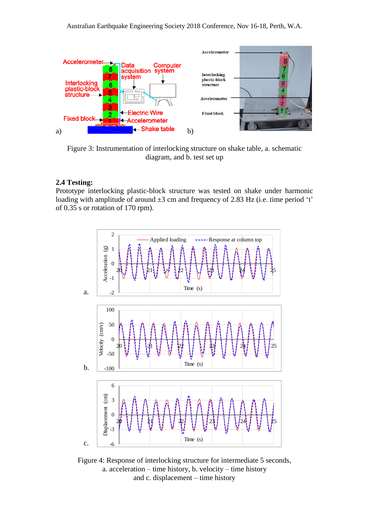

Figure 3: Instrumentation of interlocking structure on shake table, a. schematic diagram, and b. test set up

#### **2.4 Testing:**

Prototype interlocking plastic-block structure was tested on shake under harmonic loading with amplitude of around  $\pm 3$  cm and frequency of 2.83 Hz (i.e. time period 't' of 0.35 s or rotation of 170 rpm).



Figure 4: Response of interlocking structure for intermediate 5 seconds, a. acceleration – time history, b. velocity – time history and c. displacement – time history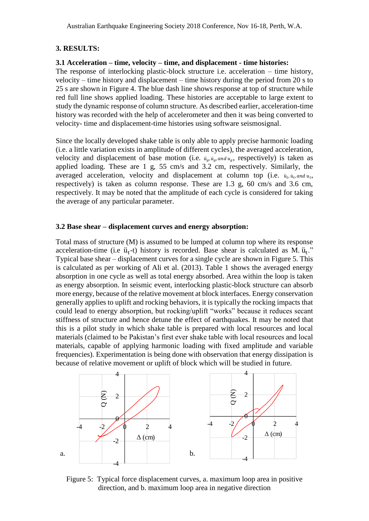#### **3. RESULTS:**

# **3.1 Acceleration – time, velocity – time, and displacement - time histories:**

The response of interlocking plastic-block structure i.e. acceleration – time history, velocity – time history and displacement – time history during the period from 20 s to 25 s are shown in Figure 4. The blue dash line shows response at top of structure while red full line shows applied loading. These histories are acceptable to large extent to study the dynamic response of column structure. As described earlier, acceleration-time history was recorded with the help of accelerometer and then it was being converted to velocity- time and displacement-time histories using software seismosignal.

Since the locally developed shake table is only able to apply precise harmonic loading (i.e. a little variation exists in amplitude of different cycles), the averaged acceleration, velocity and displacement of base motion (i.e.  $\ddot{u}_a, \dot{u}_a, \text{and } u_a$ , respectively) is taken as applied loading. These are 1 g, 55 cm/s and 3.2 cm, respectively. Similarly, the averaged acceleration, velocity and displacement at column top (i.e.  $\ddot{u}_t$ ,  $\ddot{u}_t$ , and  $u_t$ , respectively) is taken as column response. These are 1.3 g, 60 cm/s and 3.6 cm, respectively. It may be noted that the amplitude of each cycle is considered for taking the average of any particular parameter.

#### **3.2 Base shear – displacement curves and energy absorption:**

Total mass of structure (M) is assumed to be lumped at column top where its response acceleration-time (i.e  $\ddot{u}_t$ -t) history is recorded. Base shear is calculated as M.  $\ddot{u}_t$ ." Typical base shear – displacement curves for a single cycle are shown in Figure 5. This is calculated as per working of Ali et al. (2013). Table 1 shows the averaged energy absorption in one cycle as well as total energy absorbed. Area within the loop is taken as energy absorption. In seismic event, interlocking plastic-block structure can absorb more energy, because of the relative movement at block interfaces. Energy conservation generally applies to uplift and rocking behaviors, it is typically the rocking impacts that could lead to energy absorption, but rocking/uplift "works" because it reduces secant stiffness of structure and hence detune the effect of earthquakes. It may be noted that this is a pilot study in which shake table is prepared with local resources and local materials (claimed to be Pakistan's first ever shake table with local resources and local materials, capable of applying harmonic loading with fixed amplitude and variable frequencies). Experimentation is being done with observation that energy dissipation is because of relative movement or uplift of block which will be studied in future.



Figure 5: Typical force displacement curves, a. maximum loop area in positive direction, and b. maximum loop area in negative direction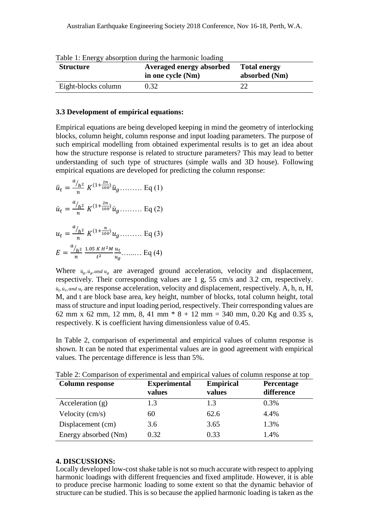| <b>Structure</b>    | Averaged energy absorbed<br>in one cycle (Nm) | <b>Total energy</b><br>absorbed (Nm) |
|---------------------|-----------------------------------------------|--------------------------------------|
| Eight-blocks column | 0.32                                          |                                      |

Table 1: Energy absorption during the harmonic loading

#### **3.3 Development of empirical equations:**

Empirical equations are being developed keeping in mind the geometry of interlocking blocks, column height, column response and input loading parameters. The purpose of such empirical modelling from obtained experimental results is to get an idea about how the structure response is related to structure parameters? This may lead to better understanding of such type of structures (simple walls and 3D house). Following empirical equations are developed for predicting the column response:

$$
\ddot{u}_t = \frac{a_{/h^2}}{n} K^{(1 + \frac{2n}{100})} \ddot{u}_g \dots \dots \dots \text{Eq (1)}
$$

$$
\dot{u}_t = \frac{a_{/h^2}}{n} K^{(1 + \frac{2n}{100})} \dot{u}_g \dots \dots \dots \text{Eq (2)}
$$

$$
u_t = \frac{a_{/h^2}}{n} K^{(1 + \frac{n}{100})} u_g \dots \dots \dots \text{ Eq (3)}
$$
  

$$
E = \frac{a_{/h^2}}{n} \frac{1.05 \, K \, H^2 M}{t^2} \frac{u_t}{u_g} \dots \dots \dots \text{ Eq (4)}
$$

Where  $\ddot{u}_a, \dot{u}_a$  and  $u_a$  are averaged ground acceleration, velocity and displacement, respectively. Their corresponding values are 1 g, 55 cm/s and 3.2 cm, respectively.  $\ddot{u}_t$ ,  $\dot{u}_t$ , and  $u_t$  are response acceleration, velocity and displacement, respectively. A, h, n, H, M, and t are block base area, key height, number of blocks, total column height, total mass of structure and input loading period, respectively. Their corresponding values are 62 mm x 62 mm, 12 mm, 8, 41 mm  $* 8 + 12$  mm = 340 mm, 0.20 Kg and 0.35 s, respectively. K is coefficient having dimensionless value of 0.45.

In Table 2, comparison of experimental and empirical values of column response is shown. It can be noted that experimental values are in good agreement with empirical values. The percentage difference is less than 5%.

| <b>Column response</b>   | <b>Experimental</b><br>values | <b>Empirical</b><br>values | Percentage<br>difference |
|--------------------------|-------------------------------|----------------------------|--------------------------|
| Acceleration $(g)$       | 1.3                           | 1.3                        | 0.3%                     |
| Velocity $\text{(cm/s)}$ | 60                            | 62.6                       | 4.4%                     |
| Displacement (cm)        | 3.6                           | 3.65                       | 1.3%                     |
| Energy absorbed (Nm)     | 0.32                          | 0.33                       | 1.4%                     |

Table 2: Comparison of experimental and empirical values of column response at top

#### **4. DISCUSSIONS:**

Locally developed low-cost shake table is not so much accurate with respect to applying harmonic loadings with different frequencies and fixed amplitude. However, it is able to produce precise harmonic loading to some extent so that the dynamic behavior of structure can be studied. This is so because the applied harmonic loading is taken as the